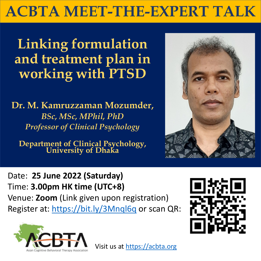**Linking formulation and treatment plan in working with PTSD**

**Dr. M. Kamruzzaman Mozumder,**  *BSc, MSc, MPhil, PhD Professor of Clinical Psychology*

**Department of Clinical Psychology, University of Dhaka**



## **ACBTA MEET-THE-EXPERT TALK**

Date: **25 June 2022 (Saturday)** Time: **3.00pm HK time (UTC+8)** Venue: **Zoom** (Link given upon registration)







## Visit us at [https://acbta.org](https://acbta.org/)